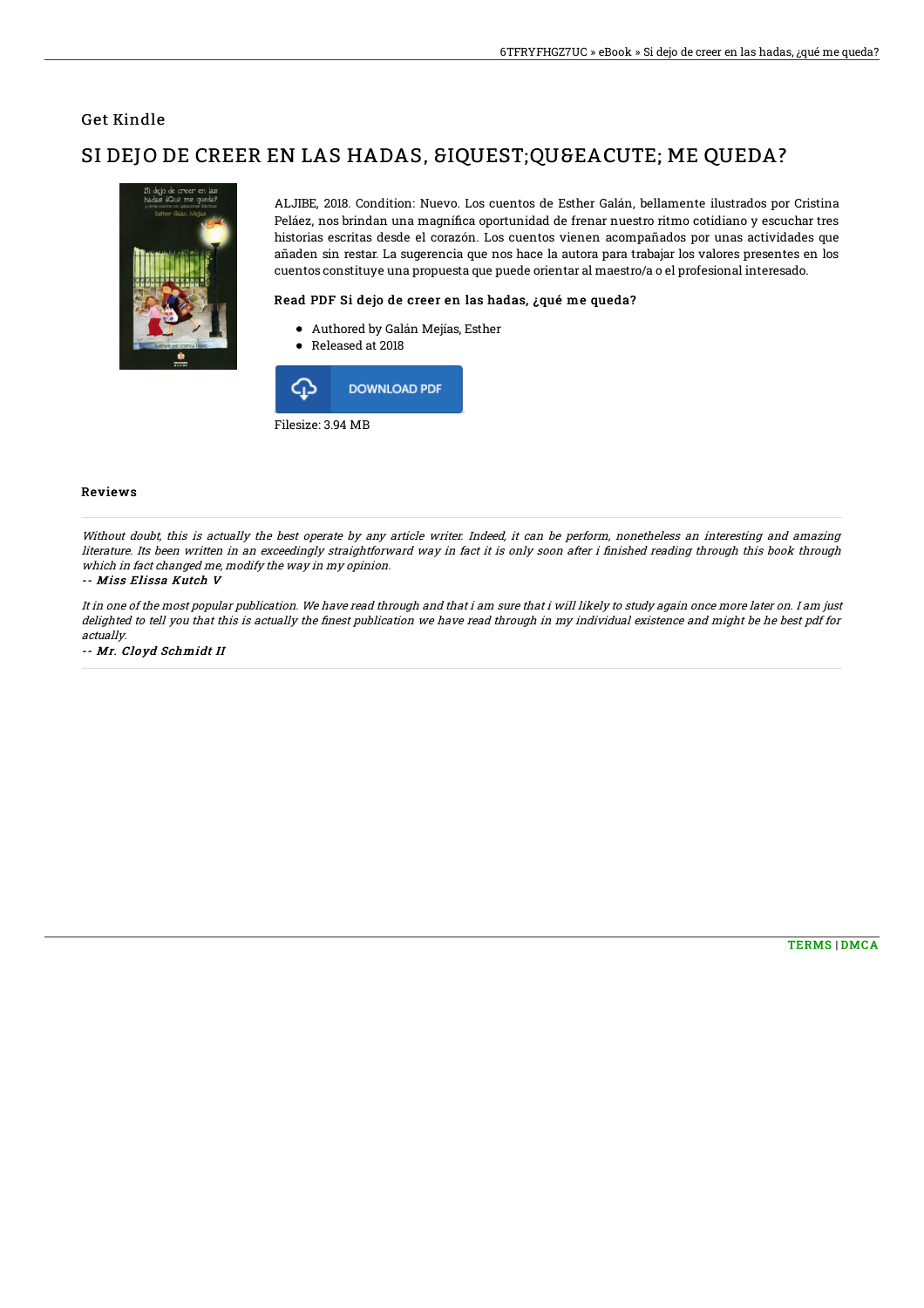### Get Kindle

# SI DEJO DE CREER EN LAS HADAS, SIQUEST; QUEEACUTE; ME QUEDA?



ALJIBE, 2018. Condition: Nuevo. Los cuentos de Esther Galán, bellamente ilustrados por Cristina Peláez, nos brindan una magnífica oportunidad de frenar nuestro ritmo cotidiano y escuchar tres historias escritas desde el corazón. Los cuentos vienen acompañados por unas actividades que añaden sin restar. La sugerencia que nos hace la autora para trabajar los valores presentes en los cuentos constituye una propuesta que puede orientar al maestro/a o el profesional interesado.

### Read PDF Si dejo de creer en las hadas, ¿qué me queda?

- Authored by Galán Mejías, Esther
- Released at 2018



#### Reviews

Without doubt, this is actually the best operate by any article writer. Indeed, it can be perform, nonetheless an interesting and amazing literature. Its been written in an exceedingly straightforward way in fact it is only soon after i finished reading through this book through which in fact changed me, modify the way in my opinion.

#### -- Miss Elissa Kutch V

It in one of the most popular publication. We have read through and that i am sure that i will likely to study again once more later on. I am just delighted to tell you that this is actually the finest publication we have read through in my individual existence and might be he best pdf for actually.

-- Mr. Cloyd Schmidt II